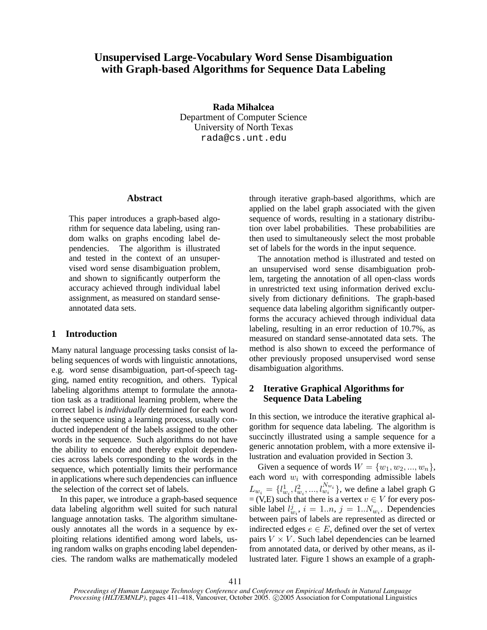# **Unsupervised Large-Vocabulary Word Sense Disambiguation with Graph-based Algorithms for Sequence Data Labeling**

**Rada Mihalcea** Department of Computer Science University of North Texas rada@cs.unt.edu

## **Abstract**

This paper introduces a graph-based algorithm for sequence data labeling, using random walks on graphs encoding label dependencies. The algorithm is illustrated and tested in the context of an unsupervised word sense disambiguation problem, and shown to significantly outperform the accuracy achieved through individual label assignment, as measured on standard senseannotated data sets.

## **1 Introduction**

Many natural language processing tasks consist of labeling sequences of words with linguistic annotations, e.g. word sense disambiguation, part-of-speech tagging, named entity recognition, and others. Typical labeling algorithms attempt to formulate the annotation task as a traditional learning problem, where the correct label is *individually* determined for each word in the sequence using a learning process, usually conducted independent of the labels assigned to the other words in the sequence. Such algorithms do not have the ability to encode and thereby exploit dependencies across labels corresponding to the words in the sequence, which potentially limits their performance in applications where such dependencies can influence the selection of the correct set of labels.

In this paper, we introduce a graph-based sequence data labeling algorithm well suited for such natural language annotation tasks. The algorithm simultaneously annotates all the words in a sequence by exploiting relations identified among word labels, using random walks on graphs encoding label dependencies. The random walks are mathematically modeled through iterative graph-based algorithms, which are applied on the label graph associated with the given sequence of words, resulting in a stationary distribution over label probabilities. These probabilities are then used to simultaneously select the most probable set of labels for the words in the input sequence.

The annotation method is illustrated and tested on an unsupervised word sense disambiguation problem, targeting the annotation of all open-class words in unrestricted text using information derived exclusively from dictionary definitions. The graph-based sequence data labeling algorithm significantly outperforms the accuracy achieved through individual data labeling, resulting in an error reduction of 10.7%, as measured on standard sense-annotated data sets. The method is also shown to exceed the performance of other previously proposed unsupervised word sense disambiguation algorithms.

## **2 Iterative Graphical Algorithms for Sequence Data Labeling**

In this section, we introduce the iterative graphical algorithm for sequence data labeling. The algorithm is succinctly illustrated using a sample sequence for a generic annotation problem, with a more extensive illustration and evaluation provided in Section 3.

Given a sequence of words  $W = \{w_1, w_2, ..., w_n\},\$ each word  $w_i$  with corresponding admissible labels  $L_{w_i} = \{l^1_{w_i}, l^2_{w_i}, ..., l^{N_{w_i}}_{w_i}\}$ , we define a label graph G  $=(V,E)$  such that there is a vertex  $v \in V$  for every possible label  $l_{w_i}^j$ ,  $i = 1..n$ ,  $j = 1..N_{w_i}$ . Dependencies between pairs of labels are represented as directed or indirected edges  $e \in E$ , defined over the set of vertex pairs  $V \times V$ . Such label dependencies can be learned from annotated data, or derived by other means, as illustrated later. Figure 1 shows an example of a graph-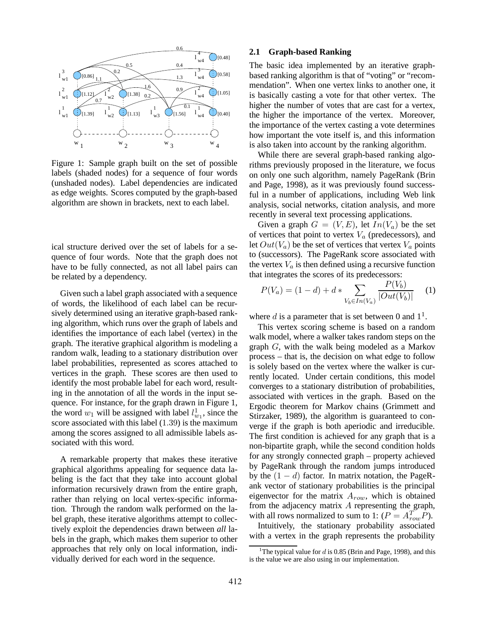

Figure 1: Sample graph built on the set of possible labels (shaded nodes) for a sequence of four words (unshaded nodes). Label dependencies are indicated as edge weights. Scores computed by the graph-based algorithm are shown in brackets, next to each label.

ical structure derived over the set of labels for a sequence of four words. Note that the graph does not have to be fully connected, as not all label pairs can be related by a dependency.

Given such a label graph associated with a sequence of words, the likelihood of each label can be recursively determined using an iterative graph-based ranking algorithm, which runs over the graph of labels and identifies the importance of each label (vertex) in the graph. The iterative graphical algorithm is modeling a random walk, leading to a stationary distribution over label probabilities, represented as scores attached to vertices in the graph. These scores are then used to identify the most probable label for each word, resulting in the annotation of all the words in the input sequence. For instance, for the graph drawn in Figure 1, the word  $w_1$  will be assigned with label  $l_{w_1}^1$ , since the score associated with this label (1.39) is the maximum among the scores assigned to all admissible labels associated with this word.

A remarkable property that makes these iterative graphical algorithms appealing for sequence data labeling is the fact that they take into account global information recursively drawn from the entire graph, rather than relying on local vertex-specific information. Through the random walk performed on the label graph, these iterative algorithms attempt to collectively exploit the dependencies drawn between *all* labels in the graph, which makes them superior to other approaches that rely only on local information, individually derived for each word in the sequence.

#### **2.1 Graph-based Ranking**

The basic idea implemented by an iterative graphbased ranking algorithm is that of "voting" or "recommendation". When one vertex links to another one, it is basically casting a vote for that other vertex. The higher the number of votes that are cast for a vertex, the higher the importance of the vertex. Moreover, the importance of the vertex casting a vote determines how important the vote itself is, and this information is also taken into account by the ranking algorithm.

While there are several graph-based ranking algorithms previously proposed in the literature, we focus on only one such algorithm, namely PageRank (Brin and Page, 1998), as it was previously found successful in a number of applications, including Web link analysis, social networks, citation analysis, and more recently in several text processing applications.

Given a graph  $G = (V, E)$ , let  $In(V_a)$  be the set of vertices that point to vertex  $V_a$  (predecessors), and let  $Out(V_a)$  be the set of vertices that vertex  $V_a$  points to (successors). The PageRank score associated with the vertex  $V_a$  is then defined using a recursive function that integrates the scores of its predecessors:

$$
P(V_a) = (1 - d) + d * \sum_{V_b \in In(V_a)} \frac{P(V_b)}{|Out(V_b)|} \tag{1}
$$

where  $d$  is a parameter that is set between 0 and  $1^1$ .

This vertex scoring scheme is based on a random walk model, where a walker takes random steps on the graph G, with the walk being modeled as a Markov process – that is, the decision on what edge to follow is solely based on the vertex where the walker is currently located. Under certain conditions, this model converges to a stationary distribution of probabilities, associated with vertices in the graph. Based on the Ergodic theorem for Markov chains (Grimmett and Stirzaker, 1989), the algorithm is guaranteed to converge if the graph is both aperiodic and irreducible. The first condition is achieved for any graph that is a non-bipartite graph, while the second condition holds for any strongly connected graph – property achieved by PageRank through the random jumps introduced by the  $(1 - d)$  factor. In matrix notation, the PageRank vector of stationary probabilities is the principal eigenvector for the matrix  $A_{row}$ , which is obtained from the adjacency matrix A representing the graph, with all rows normalized to sum to 1:  $(P = A_{row}^T \tilde{P})$ .

Intuitively, the stationary probability associated with a vertex in the graph represents the probability

<sup>&</sup>lt;sup>1</sup>The typical value for  $d$  is 0.85 (Brin and Page, 1998), and this is the value we are also using in our implementation.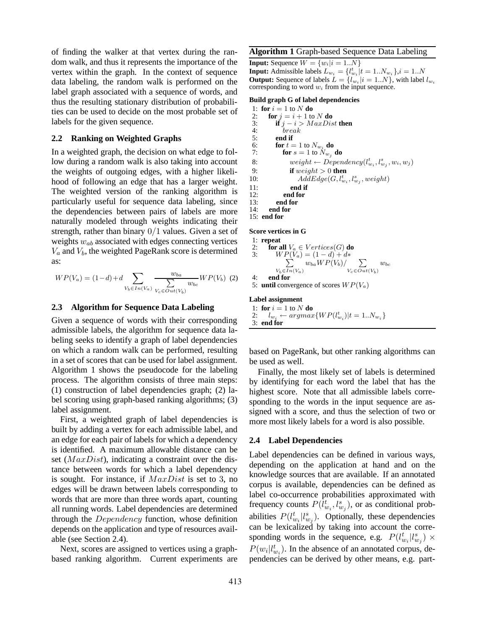of finding the walker at that vertex during the random walk, and thus it represents the importance of the vertex within the graph. In the context of sequence data labeling, the random walk is performed on the label graph associated with a sequence of words, and thus the resulting stationary distribution of probabilities can be used to decide on the most probable set of labels for the given sequence.

### **2.2 Ranking on Weighted Graphs**

In a weighted graph, the decision on what edge to follow during a random walk is also taking into account the weights of outgoing edges, with a higher likelihood of following an edge that has a larger weight. The weighted version of the ranking algorithm is particularly useful for sequence data labeling, since the dependencies between pairs of labels are more naturally modeled through weights indicating their strength, rather than binary  $0/1$  values. Given a set of weights  $w_{ab}$  associated with edges connecting vertices  $V_a$  and  $V_b$ , the weighted PageRank score is determined as:

$$
WP(V_a) = (1-d) + d \sum_{V_b \in In(V_a)} \frac{w_{ba}}{\sum_{V_c \in Out(V_b)} w_{bc}} WP(V_b) \tag{2}
$$

#### **2.3 Algorithm for Sequence Data Labeling**

Given a sequence of words with their corresponding admissible labels, the algorithm for sequence data labeling seeks to identify a graph of label dependencies on which a random walk can be performed, resulting in a set of scores that can be used for label assignment. Algorithm 1 shows the pseudocode for the labeling process. The algorithm consists of three main steps: (1) construction of label dependencies graph; (2) label scoring using graph-based ranking algorithms; (3) label assignment.

First, a weighted graph of label dependencies is built by adding a vertex for each admissible label, and an edge for each pair of labels for which a dependency is identified. A maximum allowable distance can be set  $(MaxDist)$ , indicating a constraint over the distance between words for which a label dependency is sought. For instance, if  $MaxDist$  is set to 3, no edges will be drawn between labels corresponding to words that are more than three words apart, counting all running words. Label dependencies are determined through the *Dependency* function, whose definition depends on the application and type of resources available (see Section 2.4).

Next, scores are assigned to vertices using a graphbased ranking algorithm. Current experiments are

#### **Algorithm 1** Graph-based Sequence Data Labeling

**Input:** Sequence  $W = \{w_i | i = 1..N\}$ **Input:** Admissible labels  $L_{w_i} = \{l_{w_i}^t | t = 1..N_{w_i}\}, i = 1..N$ **Output:** Sequence of labels  $L = \{l_{w_i} | i = 1..N\}$ , with label  $l_{w_i}$ corresponding to word  $w_i$  from the input sequence.

#### **Build graph G of label dependencies**

1: **for**  $i = 1$  to N **do**<br>2: **for**  $j = i + 1$  to 2: **for**  $j = i + 1$  to N **do**<br>3: **if**  $j - i > MaxDis$ 3: **if**  $j - i > MaxDist$  **then**<br>4: **break** 4:  $break$ <br>5: **end if** 5: **end if** 6: **for**  $t = 1$  to  $N_{w_i}$  **do**<br>7: **for**  $s = 1$  to  $N_{w_i}$ 7: **for**  $s = 1$  to  $\tilde{N}_{w_j}$  **do**<br>8:  $weight \leftarrow Depen$ 8:  $weight \leftarrow Dependent(y(l_{w_i}^t, l_{w_j}^s, w_i, w_j))$ 9: **if**  $weight > 0$  **then**<br>10:  $AddEdge(G, l_w^t)$ 10:  $AddEdge(G, l_{w_i}^t, l_{w_j}^s, weight)$ 11: **end if**<br>12: **end for** 12: **end for** 13: **end for** 14: **end for** 15: **end for**

#### **Score vertices in G**

- 1: **repeat** 2: **for all**  $V_a \in Vertices(G)$  **do**<br>3:  $WP(V_a) = (1-d) + d*$ 3: WP  $\sum$  $(V_a) = (1-d) + d*$  $V_b \in In(V_a)$  $w_{ba}WP(V_b)/-\sum$  $V_c \!\in\! Out(V_b)$  $w_{bc}$ 4: **end for**
- 5: **until** convergence of scores  $WP(V_a)$

#### **Label assignment**

1: **for**  $i = 1$  to N **do**<br>2:  $l_{av} \leftarrow argmax$ 2:  $l_{w_i} \leftarrow argmax\{WP(l_{w_i}^t)|t=1..N_{w_i}\}$ 3: **end for**

based on PageRank, but other ranking algorithms can be used as well.

Finally, the most likely set of labels is determined by identifying for each word the label that has the highest score. Note that all admissible labels corresponding to the words in the input sequence are assigned with a score, and thus the selection of two or more most likely labels for a word is also possible.

#### **2.4 Label Dependencies**

Label dependencies can be defined in various ways, depending on the application at hand and on the knowledge sources that are available. If an annotated corpus is available, dependencies can be defined as label co-occurrence probabilities approximated with frequency counts  $P(\bar{l}_{w_i}^t, l_{w_j}^s)$ , or as conditional probabilities  $P(l_{w_i}^t|l_{w_j}^s)$ . Optionally, these dependencies can be lexicalized by taking into account the corresponding words in the sequence, e.g.  $P(l_{w_i}^t|l_{w_j}^s) \times$  $P(w_i|l_{w_i}^t)$ . In the absence of an annotated corpus, dependencies can be derived by other means, e.g. part-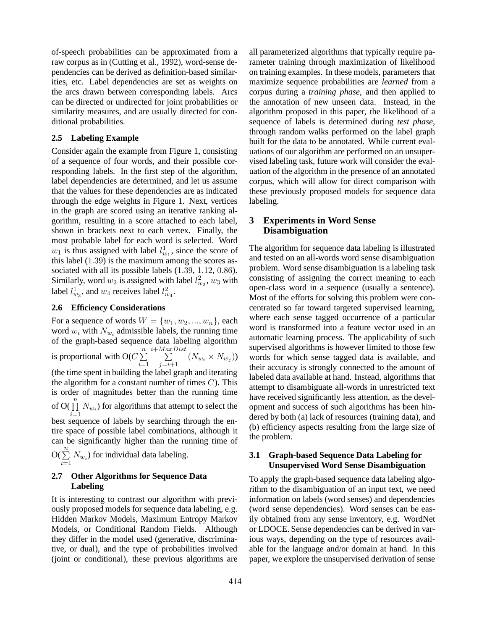of-speech probabilities can be approximated from a raw corpus as in (Cutting et al., 1992), word-sense dependencies can be derived as definition-based similarities, etc. Label dependencies are set as weights on the arcs drawn between corresponding labels. Arcs can be directed or undirected for joint probabilities or similarity measures, and are usually directed for conditional probabilities.

### **2.5 Labeling Example**

Consider again the example from Figure 1, consisting of a sequence of four words, and their possible corresponding labels. In the first step of the algorithm, label dependencies are determined, and let us assume that the values for these dependencies are as indicated through the edge weights in Figure 1. Next, vertices in the graph are scored using an iterative ranking algorithm, resulting in a score attached to each label, shown in brackets next to each vertex. Finally, the most probable label for each word is selected. Word  $w_1$  is thus assigned with label  $l_{w_1}^1$ , since the score of this label (1.39) is the maximum among the scores associated with all its possible labels (1.39, 1.12, 0.86). Similarly, word  $w_2$  is assigned with label  $l_{w_2}^2$ ,  $w_3$  with label  $l_{w_3}^1$ , and  $w_4$  receives label  $l_{w_4}^2$ .

## **2.6 Efficiency Considerations**

For a sequence of words  $W = \{w_1, w_2, ..., w_n\}$ , each word  $w_i$  with  $N_{w_i}$  admissible labels, the running time of the graph-based sequence data labeling algorithm is proportional with O( $C \sum_{n=1}^{n}$  $i=1$  $i+M$  $\sum$ axDist  $\sum_{j=i+1}$   $(N_{w_i} \times N_{w_j})$ (the time spent in building the label graph and iterating the algorithm for a constant number of times  $C$ ). This is order of magnitudes better than the running time of O( $\prod_{n=1}^{n}$  $\prod_{i=1} N_{w_i}$ ) for algorithms that attempt to select the best sequence of labels by searching through the entire space of possible label combinations, although it can be significantly higher than the running time of  $O(\sum_{n=1}^{n}$  $\sum_{i=1} N_{w_i}$ ) for individual data labeling.

## **2.7 Other Algorithms for Sequence Data Labeling**

It is interesting to contrast our algorithm with previously proposed models for sequence data labeling, e.g. Hidden Markov Models, Maximum Entropy Markov Models, or Conditional Random Fields. Although they differ in the model used (generative, discriminative, or dual), and the type of probabilities involved (joint or conditional), these previous algorithms are all parameterized algorithms that typically require parameter training through maximization of likelihood on training examples. In these models, parameters that maximize sequence probabilities are *learned* from a corpus during a *training phase*, and then applied to the annotation of new unseen data. Instead, in the algorithm proposed in this paper, the likelihood of a sequence of labels is determined during *test phase*, through random walks performed on the label graph built for the data to be annotated. While current evaluations of our algorithm are performed on an unsupervised labeling task, future work will consider the evaluation of the algorithm in the presence of an annotated corpus, which will allow for direct comparison with these previously proposed models for sequence data labeling.

## **3 Experiments in Word Sense Disambiguation**

The algorithm for sequence data labeling is illustrated and tested on an all-words word sense disambiguation problem. Word sense disambiguation is a labeling task consisting of assigning the correct meaning to each open-class word in a sequence (usually a sentence). Most of the efforts for solving this problem were concentrated so far toward targeted supervised learning, where each sense tagged occurrence of a particular word is transformed into a feature vector used in an automatic learning process. The applicability of such supervised algorithms is however limited to those few words for which sense tagged data is available, and their accuracy is strongly connected to the amount of labeled data available at hand. Instead, algorithms that attempt to disambiguate all-words in unrestricted text have received significantly less attention, as the development and success of such algorithms has been hindered by both (a) lack of resources (training data), and (b) efficiency aspects resulting from the large size of the problem.

## **3.1 Graph-based Sequence Data Labeling for Unsupervised Word Sense Disambiguation**

To apply the graph-based sequence data labeling algorithm to the disambiguation of an input text, we need information on labels (word senses) and dependencies (word sense dependencies). Word senses can be easily obtained from any sense inventory, e.g. WordNet or LDOCE. Sense dependencies can be derived in various ways, depending on the type of resources available for the language and/or domain at hand. In this paper, we explore the unsupervised derivation of sense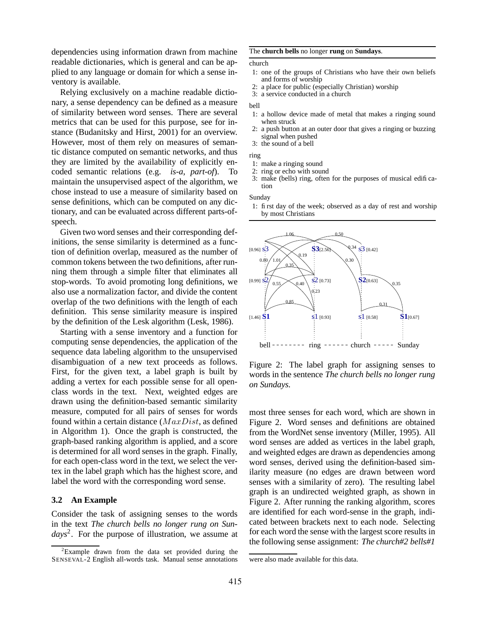dependencies using information drawn from machine readable dictionaries, which is general and can be applied to any language or domain for which a sense inventory is available.

Relying exclusively on a machine readable dictionary, a sense dependency can be defined as a measure of similarity between word senses. There are several metrics that can be used for this purpose, see for instance (Budanitsky and Hirst, 2001) for an overview. However, most of them rely on measures of semantic distance computed on semantic networks, and thus they are limited by the availability of explicitly encoded semantic relations (e.g. *is-a*, *part-of*). To maintain the unsupervised aspect of the algorithm, we chose instead to use a measure of similarity based on sense definitions, which can be computed on any dictionary, and can be evaluated across different parts-ofspeech.

Given two word senses and their corresponding definitions, the sense similarity is determined as a function of definition overlap, measured as the number of common tokens between the two definitions, after running them through a simple filter that eliminates all stop-words. To avoid promoting long definitions, we also use a normalization factor, and divide the content overlap of the two definitions with the length of each definition. This sense similarity measure is inspired by the definition of the Lesk algorithm (Lesk, 1986).

Starting with a sense inventory and a function for computing sense dependencies, the application of the sequence data labeling algorithm to the unsupervised disambiguation of a new text proceeds as follows. First, for the given text, a label graph is built by adding a vertex for each possible sense for all openclass words in the text. Next, weighted edges are drawn using the definition-based semantic similarity measure, computed for all pairs of senses for words found within a certain distance  $(MaxDist,$  as defined in Algorithm 1). Once the graph is constructed, the graph-based ranking algorithm is applied, and a score is determined for all word senses in the graph. Finally, for each open-class word in the text, we select the vertex in the label graph which has the highest score, and label the word with the corresponding word sense.

### **3.2 An Example**

Consider the task of assigning senses to the words in the text *The church bells no longer rung on Sundays*<sup>2</sup> . For the purpose of illustration, we assume at

#### The **church bells** no longer **rung** on **Sundays**.

#### church

- 1: one of the groups of Christians who have their own beliefs and forms of worship
- 2: a place for public (especially Christian) worship
- 3: a service conducted in a church

bell

- 1: a hollow device made of metal that makes a ringing sound when struck
- 2: a push button at an outer door that gives a ringing or buzzing signal when pushed 3: the sound of a bell

ring

- 1: make a ringing sound
- 2: ring or echo with sound
- 3: make (bells) ring, often for the purposes of musical edification

#### Sunday

1: first day of the week; observed as a day of rest and worship by most Christians



Figure 2: The label graph for assigning senses to words in the sentence *The church bells no longer rung on Sundays.*

most three senses for each word, which are shown in Figure 2. Word senses and definitions are obtained from the WordNet sense inventory (Miller, 1995). All word senses are added as vertices in the label graph, and weighted edges are drawn as dependencies among word senses, derived using the definition-based similarity measure (no edges are drawn between word senses with a similarity of zero). The resulting label graph is an undirected weighted graph, as shown in Figure 2. After running the ranking algorithm, scores are identified for each word-sense in the graph, indicated between brackets next to each node. Selecting for each word the sense with the largest score results in the following sense assignment: *The church#2 bells#1*

 $2$ Example drawn from the data set provided during the SENSEVAL-2 English all-words task. Manual sense annotations

were also made available for this data.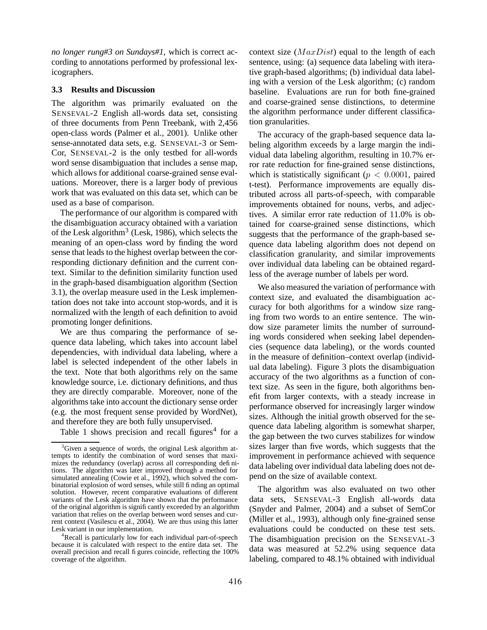*no longer rung#3 on Sundays#1*, which is correct according to annotations performed by professional lexicographers.

### **3.3 Results and Discussion**

The algorithm was primarily evaluated on the SENSEVAL-2 English all-words data set, consisting of three documents from Penn Treebank, with 2,456 open-class words (Palmer et al., 2001). Unlike other sense-annotated data sets, e.g. SENSEVAL-3 or Sem-Cor, SENSEVAL-2 is the only testbed for all-words word sense disambiguation that includes a sense map, which allows for additional coarse-grained sense evaluations. Moreover, there is a larger body of previous work that was evaluated on this data set, which can be used as a base of comparison.

The performance of our algorithm is compared with the disambiguation accuracy obtained with a variation of the Lesk algorithm<sup>3</sup> (Lesk, 1986), which selects the meaning of an open-class word by finding the word sense that leads to the highest overlap between the corresponding dictionary definition and the current context. Similar to the definition similarity function used in the graph-based disambiguation algorithm (Section 3.1), the overlap measure used in the Lesk implementation does not take into account stop-words, and it is normalized with the length of each definition to avoid promoting longer definitions.

We are thus comparing the performance of sequence data labeling, which takes into account label dependencies, with individual data labeling, where a label is selected independent of the other labels in the text. Note that both algorithms rely on the same knowledge source, i.e. dictionary definitions, and thus they are directly comparable. Moreover, none of the algorithms take into account the dictionary sense order (e.g. the most frequent sense provided by WordNet), and therefore they are both fully unsupervised.

Table 1 shows precision and recall figures<sup>4</sup> for a

context size  $(MaxDist)$  equal to the length of each sentence, using: (a) sequence data labeling with iterative graph-based algorithms; (b) individual data labeling with a version of the Lesk algorithm; (c) random baseline. Evaluations are run for both fine-grained and coarse-grained sense distinctions, to determine the algorithm performance under different classification granularities.

The accuracy of the graph-based sequence data labeling algorithm exceeds by a large margin the individual data labeling algorithm, resulting in 10.7% error rate reduction for fine-grained sense distinctions, which is statistically significant ( $p < 0.0001$ , paired t-test). Performance improvements are equally distributed across all parts-of-speech, with comparable improvements obtained for nouns, verbs, and adjectives. A similar error rate reduction of 11.0% is obtained for coarse-grained sense distinctions, which suggests that the performance of the graph-based sequence data labeling algorithm does not depend on classification granularity, and similar improvements over individual data labeling can be obtained regardless of the average number of labels per word.

We also measured the variation of performance with context size, and evaluated the disambiguation accuracy for both algorithms for a window size ranging from two words to an entire sentence. The window size parameter limits the number of surrounding words considered when seeking label dependencies (sequence data labeling), or the words counted in the measure of definition–context overlap (individual data labeling). Figure 3 plots the disambiguation accuracy of the two algorithms as a function of context size. As seen in the figure, both algorithms benefit from larger contexts, with a steady increase in performance observed for increasingly larger window sizes. Although the initial growth observed for the sequence data labeling algorithm is somewhat sharper, the gap between the two curves stabilizes for window sizes larger than five words, which suggests that the improvement in performance achieved with sequence data labeling over individual data labeling does not depend on the size of available context.

The algorithm was also evaluated on two other data sets, SENSEVAL-3 English all-words data (Snyder and Palmer, 2004) and a subset of SemCor (Miller et al., 1993), although only fine-grained sense evaluations could be conducted on these test sets. The disambiguation precision on the SENSEVAL-3 data was measured at 52.2% using sequence data labeling, compared to 48.1% obtained with individual

 $3$ Given a sequence of words, the original Lesk algorithm attempts to identify the combination of word senses that maximizes the redundancy (overlap) across all corresponding definitions. The algorithm was later improved through a method for simulated annealing (Cowie et al., 1992), which solved the combinatorial explosion of word senses, while still finding an optimal solution. However, recent comparative evaluations of different variants of the Lesk algorithm have shown that the performance of the original algorithm is significantly exceeded by an algorithm variation that relies on the overlap between word senses and current context (Vasilescu et al., 2004). We are thus using this latter Lesk variant in our implementation.

<sup>&</sup>lt;sup>4</sup>Recall is particularly low for each individual part-of-speech because it is calculated with respect to the entire data set. The overall precision and recall figures coincide, reflecting the 100% coverage of the algorithm.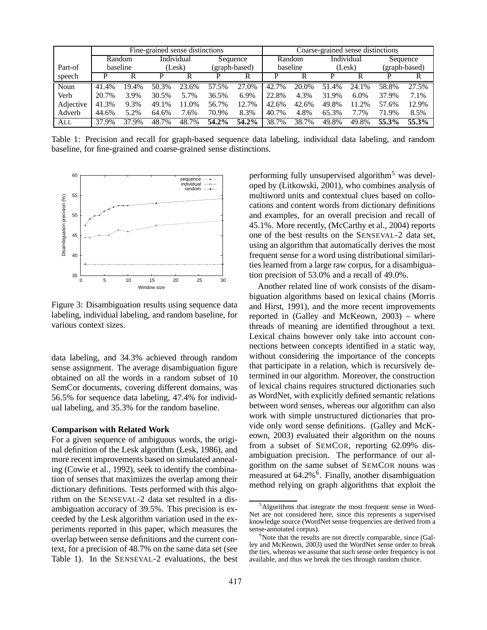|           | Fine-grained sense distinctions |       |            |       |               |       | Coarse-grained sense distinctions |       |            |       |               |       |
|-----------|---------------------------------|-------|------------|-------|---------------|-------|-----------------------------------|-------|------------|-------|---------------|-------|
|           | Random                          |       | Individual |       | Sequence      |       | Random                            |       | Individual |       | Sequence      |       |
| Part-of   | baseline                        |       | (Lesk)     |       | (graph-based) |       | baseline                          |       | (Lesk)     |       | (graph-based) |       |
| speech    |                                 |       |            |       |               |       |                                   |       |            |       |               |       |
| Noun      | 41.4%                           | 19.4% | 50.3%      | 23.6% | 57.5%         | 27.0% | 42.7%                             | 20.0% | 51.4%      | 24.1% | 58.8%         | 27.5% |
| Verb      | 20.7%                           | 3.9%  | 30.5%      | 5.7%  | 36.5%         | 6.9%  | 22.8%                             | 4.3%  | 31.9%      | 6.0%  | 37.9%         | 7.1%  |
| Adjective | 41.3%                           | 9.3%  | 49.1%      | 11.0% | 56.7%         | 12.7% | 42.6%                             | 42.6% | 49.8%      | 11.2% | 57.6%         | 12.9% |
| Adverb    | 44.6%                           | 5.2%  | 64.6%      | 7.6%  | 70.9%         | 8.3%  | 40.7%                             | 4.8%  | 65.3%      | 7.7%  | 71.9%         | 8.5%  |
| All       | 37.9%                           | 37.9% | 48.7%      | 48.7% | 54.2%         | 54.2% | 38.7%                             | 38.7% | 49.8%      | 49.8% | 55.3%         | 55.3% |

Table 1: Precision and recall for graph-based sequence data labeling, individual data labeling, and random baseline, for fine-grained and coarse-grained sense distinctions.



Figure 3: Disambiguation results using sequence data labeling, individual labeling, and random baseline, for various context sizes.

data labeling, and 34.3% achieved through random sense assignment. The average disambiguation figure obtained on all the words in a random subset of 10 SemCor documents, covering different domains, was 56.5% for sequence data labeling, 47.4% for individual labeling, and 35.3% for the random baseline.

### **Comparison with Related Work**

For a given sequence of ambiguous words, the original definition of the Lesk algorithm (Lesk, 1986), and more recent improvements based on simulated annealing (Cowie et al., 1992), seek to identify the combination of senses that maximizes the overlap among their dictionary definitions. Tests performed with this algorithm on the SENSEVAL-2 data set resulted in a disambiguation accuracy of 39.5%. This precision is exceeded by the Lesk algorithm variation used in the experiments reported in this paper, which measures the overlap between sense definitions and the current context, for a precision of 48.7% on the same data set (see Table 1). In the SENSEVAL-2 evaluations, the best performing fully unsupervised algorithm<sup>5</sup> was developed by (Litkowski, 2001), who combines analysis of multiword units and contextual clues based on collocations and content words from dictionary definitions and examples, for an overall precision and recall of 45.1%. More recently, (McCarthy et al., 2004) reports one of the best results on the SENSEVAL-2 data set, using an algorithm that automatically derives the most frequent sense for a word using distributional similarities learned from a large raw corpus, for a disambiguation precision of 53.0% and a recall of 49.0%.

Another related line of work consists of the disambiguation algorithms based on lexical chains (Morris and Hirst, 1991), and the more recent improvements reported in (Galley and McKeown, 2003) – where threads of meaning are identified throughout a text. Lexical chains however only take into account connections between concepts identified in a static way, without considering the importance of the concepts that participate in a relation, which is recursively determined in our algorithm. Moreover, the construction of lexical chains requires structured dictionaries such as WordNet, with explicitly defined semantic relations between word senses, whereas our algorithm can also work with simple unstructured dictionaries that provide only word sense definitions. (Galley and McKeown, 2003) evaluated their algorithm on the nouns from a subset of SEMCOR, reporting 62.09% disambiguation precision. The performance of our algorithm on the same subset of SEMCOR nouns was measured at 64.2%<sup>6</sup>. Finally, another disambiguation method relying on graph algorithms that exploit the

<sup>5</sup>Algorithms that integrate the most frequent sense in Word-Net are not considered here, since this represents a supervised knowledge source (WordNet sense frequencies are derived from a sense-annotated corpus).

 $6$ Note that the results are not directly comparable, since (Galley and McKeown, 2003) used the WordNet sense order to break the ties, whereas we assume that such sense order frequency is not available, and thus we break the ties through random choice.